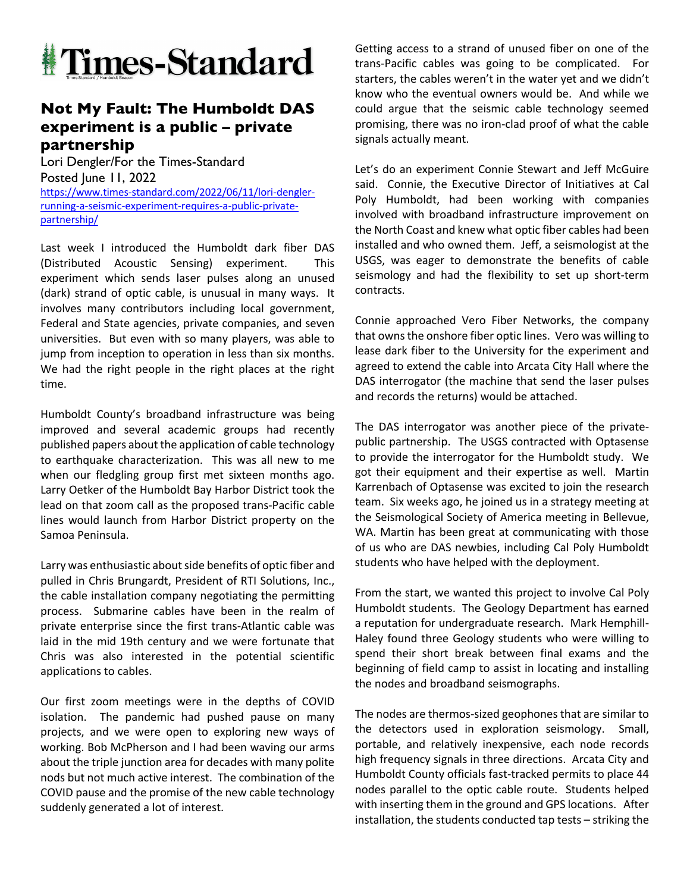

## **Not My Fault: The Humboldt DAS experiment is a public – private partnership**

Lori Dengler/For the Times-Standard Posted June 11, 2022 https://www.times-standard.com/2022/06/11/lori-denglerrunning-a-seismic-experiment-requires-a-public-privatepartnership/

Last week I introduced the Humboldt dark fiber DAS (Distributed Acoustic Sensing) experiment. This experiment which sends laser pulses along an unused (dark) strand of optic cable, is unusual in many ways. It involves many contributors including local government, Federal and State agencies, private companies, and seven universities. But even with so many players, was able to jump from inception to operation in less than six months. We had the right people in the right places at the right time.

Humboldt County's broadband infrastructure was being improved and several academic groups had recently published papers about the application of cable technology to earthquake characterization. This was all new to me when our fledgling group first met sixteen months ago. Larry Oetker of the Humboldt Bay Harbor District took the lead on that zoom call as the proposed trans-Pacific cable lines would launch from Harbor District property on the Samoa Peninsula.

Larry was enthusiastic about side benefits of optic fiber and pulled in Chris Brungardt, President of RTI Solutions, Inc., the cable installation company negotiating the permitting process. Submarine cables have been in the realm of private enterprise since the first trans-Atlantic cable was laid in the mid 19th century and we were fortunate that Chris was also interested in the potential scientific applications to cables.

Our first zoom meetings were in the depths of COVID isolation. The pandemic had pushed pause on many projects, and we were open to exploring new ways of working. Bob McPherson and I had been waving our arms about the triple junction area for decades with many polite nods but not much active interest. The combination of the COVID pause and the promise of the new cable technology suddenly generated a lot of interest.

Getting access to a strand of unused fiber on one of the trans-Pacific cables was going to be complicated. For starters, the cables weren't in the water yet and we didn't know who the eventual owners would be. And while we could argue that the seismic cable technology seemed promising, there was no iron-clad proof of what the cable signals actually meant.

Let's do an experiment Connie Stewart and Jeff McGuire said. Connie, the Executive Director of Initiatives at Cal Poly Humboldt, had been working with companies involved with broadband infrastructure improvement on the North Coast and knew what optic fiber cables had been installed and who owned them. Jeff, a seismologist at the USGS, was eager to demonstrate the benefits of cable seismology and had the flexibility to set up short-term contracts.

Connie approached Vero Fiber Networks, the company that owns the onshore fiber optic lines. Vero was willing to lease dark fiber to the University for the experiment and agreed to extend the cable into Arcata City Hall where the DAS interrogator (the machine that send the laser pulses and records the returns) would be attached.

The DAS interrogator was another piece of the privatepublic partnership. The USGS contracted with Optasense to provide the interrogator for the Humboldt study. We got their equipment and their expertise as well. Martin Karrenbach of Optasense was excited to join the research team. Six weeks ago, he joined us in a strategy meeting at the Seismological Society of America meeting in Bellevue, WA. Martin has been great at communicating with those of us who are DAS newbies, including Cal Poly Humboldt students who have helped with the deployment.

From the start, we wanted this project to involve Cal Poly Humboldt students. The Geology Department has earned a reputation for undergraduate research. Mark Hemphill-Haley found three Geology students who were willing to spend their short break between final exams and the beginning of field camp to assist in locating and installing the nodes and broadband seismographs.

The nodes are thermos-sized geophones that are similar to the detectors used in exploration seismology. Small, portable, and relatively inexpensive, each node records high frequency signals in three directions. Arcata City and Humboldt County officials fast-tracked permits to place 44 nodes parallel to the optic cable route. Students helped with inserting them in the ground and GPS locations. After installation, the students conducted tap tests – striking the